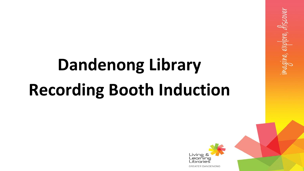# **Dandenong Library Recording Booth Induction**



agine, explore, discover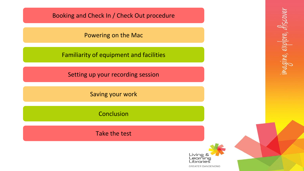<span id="page-1-0"></span>[Booking and Check In / Check Out procedure](#page-2-0)

[Powering on the Mac](#page-6-0)

[Familiarity of equipment and facilities](#page-8-0)

[Setting up your recording session](#page-20-0)

[Saving your work](#page-21-0)

[Conclusion](#page-24-0)

[Take the test](#page-26-0)

Living & Learning *L*ibraries

**GREATER DANDENONG**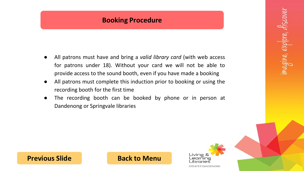### **Booking Procedure**

- <span id="page-2-0"></span>● All patrons must have and bring a *valid library card* (with web access for patrons under 18). Without your card we will not be able to provide access to the sound booth, even if you have made a booking
- All patrons must complete this induction prior to booking or using the recording booth for the first time
- The recording booth can be booked by phone or in person at Dandenong or Springvale libraries

**[Previous Slide](#page-1-0) [Back to Menu](#page-1-0)** 

Livine earning aries **GREATER DANDENONG**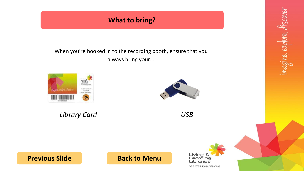# **What to bring?**

<span id="page-3-0"></span>When you're booked in to the recording booth, ensure that you always bring your...



*Library Card USB*





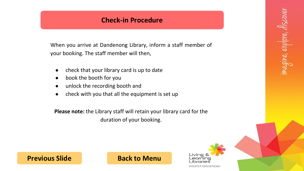### **Check-in Procedure**

<span id="page-4-0"></span>When you arrive at Dandenong Library, inform a staff member of your booking. The staff member will then,

- check that your library card is up to date
- book the booth for you
- unlock the recording booth and
- check with you that all the equipment is set up

**Please note:** the Library staff will retain your library card for the duration of your booking.

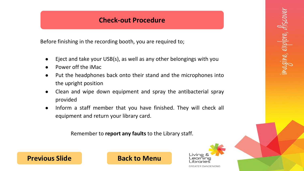### **Check-out Procedure**

<span id="page-5-0"></span>Before finishing in the recording booth, you are required to;

- Eject and take your USB(s), as well as any other belongings with you
- Power off the iMac
- Put the headphones back onto their stand and the microphones into the upright position
- Clean and wipe down equipment and spray the antibacterial spray provided
- Inform a staff member that you have finished. They will check all equipment and return your library card.

Remember to **report any faults** to the Library staff.

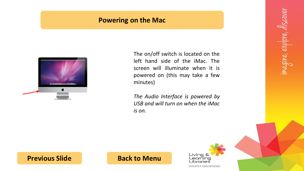### **Powering on the Mac**

<span id="page-6-0"></span>

The on/off switch is located on the left hand side of the iMac. The screen will illuminate when it is powered on (this may take a few minutes)

*The Audio Interface is powered by USB and will turn on when the iMac is on.*



#### **[Previous Slide](#page-5-0) [Back to Menu](#page-1-0)**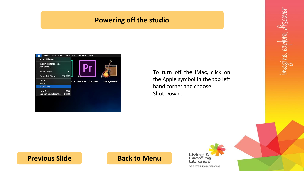### **Powering off the studio**

<span id="page-7-0"></span>

To turn off the iMac, click on the Apple symbol in the top left hand corner and choose Shut Down...

# **[Previous Slide](#page-6-0) [Back to Menu](#page-1-0)**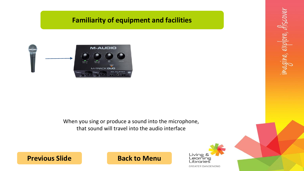# **Familiarity of equipment and facilities**

<span id="page-8-0"></span>

#### When you sing or produce a sound into the microphone, that sound will travel into the audio interface

# **[Previous Slide](#page-7-0) [Back to Menu](#page-1-0)**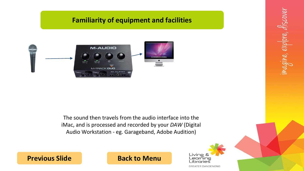# **Familiarity of equipment and facilities**

<span id="page-9-0"></span>

The sound then travels from the audio interface into the iMac, and is processed and recorded by your *DAW* (Digital Audio Workstation - eg. Garageband, Adobe Audition)

Living & Learning Libraries **GREATER DANDENONG**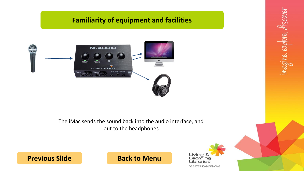# **Familiarity of equipment and facilities**

<span id="page-10-0"></span>

The iMac sends the sound back into the audio interface, and out to the headphones



magine, explore, discover

# **[Previous Slide](#page-9-0) [Back to Menu](#page-1-0)**

**GREATER DANDENONG**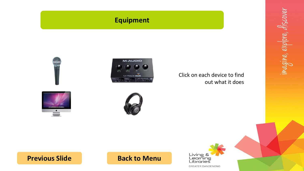# **Equipment**





<span id="page-11-0"></span>

# **[Previous Slide](#page-10-0) [Back to Menu](#page-1-0)**

Living &<br>Learning<br>Libraries **GREATER DANDENONG**  imagine, explore, discover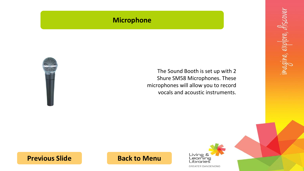# **Microphone**

<span id="page-12-0"></span>

The Sound Booth is set up with 2 Shure SM58 Microphones. These microphones will allow you to record vocals and acoustic instruments.

**[Previous Slide](#page-11-0) [Back to Menu](#page-1-0)**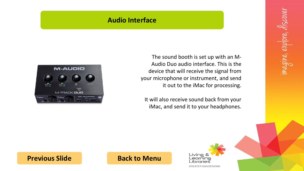#### **Audio Interface**

The sound booth is set up with an M-Audio Duo audio interface. This is the device that will receive the signal from your microphone or instrument, and send it out to the iMac for processing.

It will also receive sound back from your iMac, and send it to your headphones.

<span id="page-13-0"></span>

**[Previous Slide](#page-12-0) [Back to Menu](#page-1-0)**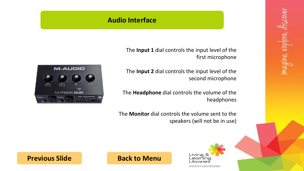### **Audio Interface**

The **Input 1** dial controls the input level of the first microphone

The **Input 2** dial controls the input level of the second microphone

The **Headphone** dial controls the volume of the headphones

The **Monitor** dial controls the volume sent to the speakers (will not be in use)

<span id="page-14-0"></span>



magine, explore, discover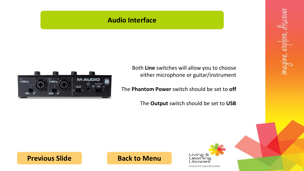### **Audio Interface**

Both **Line** switches will allow you to choose either microphone or guitar/instrument

The **Phantom Power** switch should be set to **off**

The **Output** switch should be set to **USB**

<span id="page-15-0"></span>



magine, explore, discover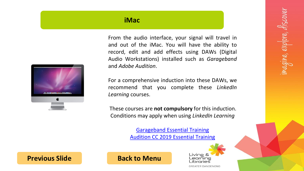#### **iMac**

<span id="page-16-0"></span>

From the audio interface, your signal will travel in and out of the iMac. You will have the ability to record, edit and add effects using DAWs (Digital Audio Workstations) installed such as *Garageband* and *Adobe Audition*.

For a comprehensive induction into these DAWs, we recommend that you complete these *LinkedIn Learning* courses.

These courses are **not compulsory** for this induction. Conditions may apply when using *LinkedIn Learning*

> [Garageband Essential Training](https://www.lynda.com/course-tutorials/GarageBand-Essential-Training-Revision-Q4-2016/508651-2.html?org=cgd.vic.gov.au) [Audition CC 2019 Essential Training](https://www.lynda.com/Audition-tutorials/Audition-CC-2019-Essential-Training/779764-2.html?org=cgd.vic.gov.au)

> > Livine earning ibrories **GREATER DANDENONG**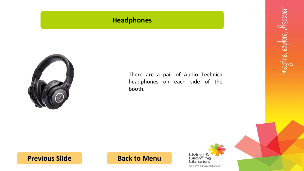# **Headphones**

<span id="page-17-0"></span>

There are a pair of Audio Technica headphones on each side of the booth.

**[Previous Slide](#page-16-0) [Back to Menu](#page-1-0)**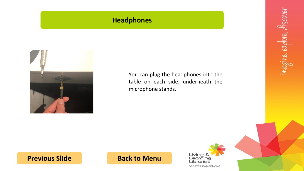# **Headphones**

<span id="page-18-0"></span>

You can plug the headphones into the table on each side, underneath the microphone stands.

**[Previous Slide](#page-17-0) [Back to Menu](#page-1-0)**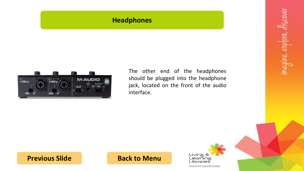#### **Headphones**

<span id="page-19-0"></span>

The other end of the headphones should be plugged into the headphone jack, located on the front of the audio interface.



**[Previous Slide](#page-18-0) [Back to Menu](#page-1-0)**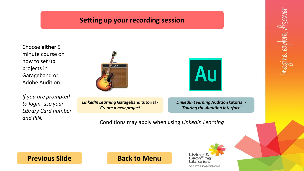# **Setting up your recording session**

<span id="page-20-0"></span>Choose **either** 5 minute course on how to set up projects in Garageband or Adobe Audition.

*If you are prompted to login, use your Library Card number and PIN.*



*LinkedIn Learning* **Garageband tutorial -** *["Create a new project"](https://www.lynda.com/GarageBand-tutorials/Create-new-project/508651/783581-4.html?org=cgd.vic.gov.au)*



*LinkedIn Learning* **Audition tutorial -** *["Touring the Audition Interface"](https://www.lynda.com/Audition-tutorials/Audition-CC-2017-Essential-Training/510572-2.html?org=cgd.vic.gov.au)*

Conditions may apply when using *LinkedIn Learning*

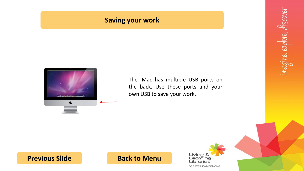### **Saving your work**

<span id="page-21-0"></span>

The iMac has multiple USB ports on the back. Use these ports and your own USB to save your work.

**[Previous Slide](#page-20-0) [Back to Menu](#page-1-0)**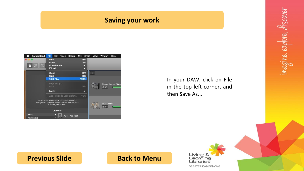# **Saving your work**

<span id="page-22-0"></span>

| GarageBand                 | File<br>Edit<br>Track<br>Record                                                                                                       | Mix<br>Share                        | View | Window<br>Help                       |
|----------------------------|---------------------------------------------------------------------------------------------------------------------------------------|-------------------------------------|------|--------------------------------------|
| $\bigcirc$<br>(2)          | New<br>Open<br>Open Recent<br><b>iCloud</b>                                                                                           | <b>XXN</b><br>$*$<br>D              |      |                                      |
|                            | Close<br>Save<br>Save As                                                                                                              | $*w$<br>$\frac{2}{3}$<br><b>介出S</b> | $+$  |                                      |
|                            | Page Setup<br>Print                                                                                                                   | $_{\rm 36P}$                        |      | Classic Electric Piano<br>$\times$ Q |
|                            | Movie<br>Add Region to Loop Library                                                                                                   | ь<br>$^{\wedge}$ <sup>0</sup>       |      |                                      |
|                            | Influenced by modern rock, but comfortable with<br>most genres, Kyle plays straightforward rock beats on<br>a natural, versatile kit. |                                     |      | SoCal (Kyle)<br>$\mathscr{U}$        |
|                            | <b>Drummer</b>                                                                                                                        |                                     |      |                                      |
| Rock<br><b>Alternative</b> | Kyle - Pop Rock                                                                                                                       |                                     |      |                                      |

In your DAW, click on File in the top left corner, and then Save As...

# **[Previous Slide](#page-21-0) [Back to Menu](#page-1-0)**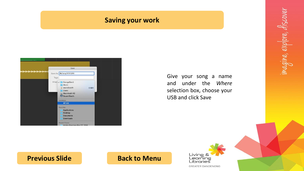#### **Saving your work**

<span id="page-23-0"></span>

Give your song a name and under the *Where* selection box, choose your USB and click Save

# **[Previous Slide](#page-22-0) [Back to Menu](#page-1-0)**

Living & Learning<br>Libraries

**GREATER DANDENONG**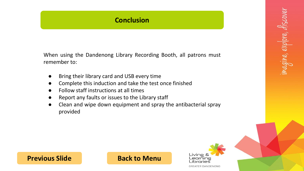## **Conclusion**

<span id="page-24-0"></span>When using the Dandenong Library Recording Booth, all patrons must remember to:

- Bring their library card and USB every time
- Complete this induction and take the test once finished
- Follow staff instructions at all times
- Report any faults or issues to the Library staff
- Clean and wipe down equipment and spray the antibacterial spray provided

### **[Previous Slide](#page-23-0) [Back to Menu](#page-1-0)**

Livine earning aries **GREATER DANDENONG**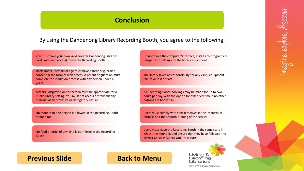#### **Conclusion**

<span id="page-25-0"></span>By using the Dandenong Library Recording Booth, you agree to the following:

You must have your own valid Greater Dandenong Libraries card (with web access) to use the Recording Booth

Users under 18 years of age must have parent or guardian consent in the form of web access. A parent or guardian must complete the induction process with any person under 16 years

Material displayed on the screen must be appropriate for a Public Library setting. You must not access or transmit any material of an offensive or derogatory nature

No more than one person is allowed in the Recording Booth at one time

No food or drink of any kind is permitted in the Recording **Booth** 

Do not move the computer/interface, install any programs or tamper with settings on the library equipment

The library takes no responsibility for any virus, equipment failure or loss of data

All Recording Booth bookings may be made for up to two hours per day, with the option for extended time if no other patrons are booked in

Users must comply with staff directives in the interests of fairness and the smooth running of the service

Users must leave the Recording Booth in the same state in which they found it, and ensure that they have followed the correct Check In/Check Out Procedures